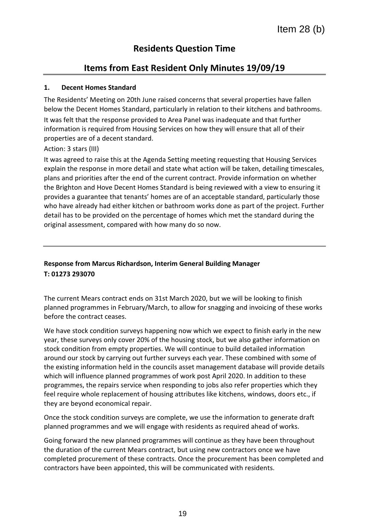# **Residents Question Time**

# **Items from East Resident Only Minutes 19/09/19**

#### **1. Decent Homes Standard**

The Residents' Meeting on 20th June raised concerns that several properties have fallen below the Decent Homes Standard, particularly in relation to their kitchens and bathrooms. It was felt that the response provided to Area Panel was inadequate and that further information is required from Housing Services on how they will ensure that all of their properties are of a decent standard.

#### Action: 3 stars (III)

It was agreed to raise this at the Agenda Setting meeting requesting that Housing Services explain the response in more detail and state what action will be taken, detailing timescales, plans and priorities after the end of the current contract. Provide information on whether the Brighton and Hove Decent Homes Standard is being reviewed with a view to ensuring it provides a guarantee that tenants' homes are of an acceptable standard, particularly those who have already had either kitchen or bathroom works done as part of the project. Further detail has to be provided on the percentage of homes which met the standard during the original assessment, compared with how many do so now.

# **Response from Marcus Richardson, Interim General Building Manager T: 01273 293070**

The current Mears contract ends on 31st March 2020, but we will be looking to finish planned programmes in February/March, to allow for snagging and invoicing of these works before the contract ceases.

We have stock condition surveys happening now which we expect to finish early in the new year, these surveys only cover 20% of the housing stock, but we also gather information on stock condition from empty properties. We will continue to build detailed information around our stock by carrying out further surveys each year. These combined with some of the existing information held in the councils asset management database will provide details which will influence planned programmes of work post April 2020. In addition to these programmes, the repairs service when responding to jobs also refer properties which they feel require whole replacement of housing attributes like kitchens, windows, doors etc., if they are beyond economical repair.

Once the stock condition surveys are complete, we use the information to generate draft planned programmes and we will engage with residents as required ahead of works.

Going forward the new planned programmes will continue as they have been throughout the duration of the current Mears contract, but using new contractors once we have completed procurement of these contracts. Once the procurement has been completed and contractors have been appointed, this will be communicated with residents.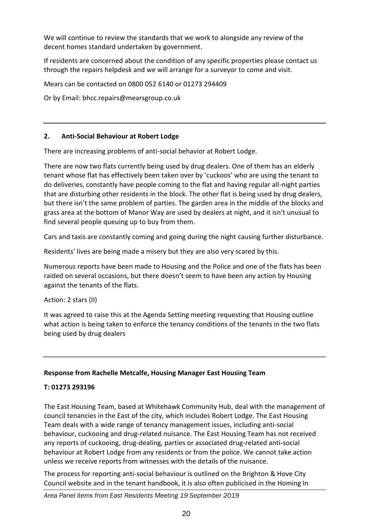We will continue to review the standards that we work to alongside any review of the decent homes standard undertaken by government.

If residents are concerned about the condition of any specific properties please contact us through the repairs helpdesk and we will arrange for a surveyor to come and visit.

Mears can be contacted on 0800 052 6140 or 01273 294409

Or by Email: bhcc.repairs@mearsgroup.co.uk

#### **2. Anti-Social Behaviour at Robert Lodge**

There are increasing problems of anti-social behavior at Robert Lodge.

There are now two flats currently being used by drug dealers. One of them has an elderly tenant whose flat has effectively been taken over by 'cuckoos' who are using the tenant to do deliveries, constantly have people coming to the flat and having regular all-night parties that are disturbing other residents in the block. The other flat is being used by drug dealers, but there isn't the same problem of parties. The garden area in the middle of the blocks and grass area at the bottom of Manor Way are used by dealers at night, and it isn't unusual to find several people queuing up to buy from them.

Cars and taxis are constantly coming and going during the night causing further disturbance.

Residents' lives are being made a misery but they are also very scared by this.

Numerous reports have been made to Housing and the Police and one of the flats has been raided on several occasions, but there doesn't seem to have been any action by Housing against the tenants of the flats.

Action: 2 stars (II)

It was agreed to raise this at the Agenda Setting meeting requesting that Housing outline what action is being taken to enforce the tenancy conditions of the tenants in the two flats being used by drug dealers

## **Response from Rachelle Metcalfe, Housing Manager East Housing Team**

## **T: 01273 293196**

The East Housing Team, based at Whitehawk Community Hub, deal with the management of council tenancies in the East of the city, which includes Robert Lodge. The East Housing Team deals with a wide range of tenancy management issues, including anti-social behaviour, cuckooing and drug-related nuisance. The East Housing Team has not received any reports of cuckooing, drug-dealing, parties or associated drug-related anti-social behaviour at Robert Lodge from any residents or from the police. We cannot take action unless we receive reports from witnesses with the details of the nuisance.

The process for reporting anti-social behaviour is outlined on the Brighton & Hove City Council website and in the tenant handbook, it is also often publicised in the Homing In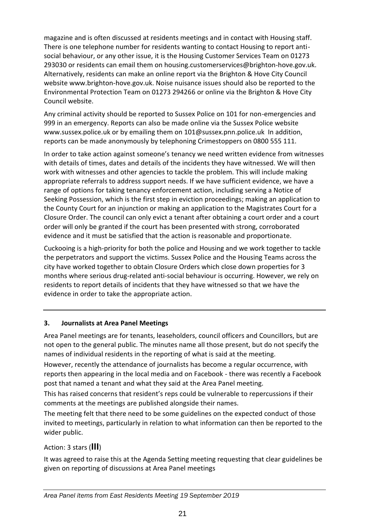magazine and is often discussed at residents meetings and in contact with Housing staff. There is one telephone number for residents wanting to contact Housing to report antisocial behaviour, or any other issue, it is the Housing Customer Services Team on 01273 293030 or residents can email them on housing.customerservices@brighton-hove.gov.uk. Alternatively, residents can make an online report via the Brighton & Hove City Council website www.brighton-hove.gov.uk. Noise nuisance issues should also be reported to the Environmental Protection Team on 01273 294266 or online via the Brighton & Hove City Council website.

Any criminal activity should be reported to Sussex Police on 101 for non-emergencies and 999 in an emergency. Reports can also be made online via the Sussex Police website www.sussex.police.uk or by emailing them on 101@sussex.pnn.police.uk In addition, reports can be made anonymously by telephoning Crimestoppers on 0800 555 111.

In order to take action against someone's tenancy we need written evidence from witnesses with details of times, dates and details of the incidents they have witnessed. We will then work with witnesses and other agencies to tackle the problem. This will include making appropriate referrals to address support needs. If we have sufficient evidence, we have a range of options for taking tenancy enforcement action, including serving a Notice of Seeking Possession, which is the first step in eviction proceedings; making an application to the County Court for an injunction or making an application to the Magistrates Court for a Closure Order. The council can only evict a tenant after obtaining a court order and a court order will only be granted if the court has been presented with strong, corroborated evidence and it must be satisfied that the action is reasonable and proportionate.

Cuckooing is a high-priority for both the police and Housing and we work together to tackle the perpetrators and support the victims. Sussex Police and the Housing Teams across the city have worked together to obtain Closure Orders which close down properties for 3 months where serious drug-related anti-social behaviour is occurring. However, we rely on residents to report details of incidents that they have witnessed so that we have the evidence in order to take the appropriate action.

## **3. Journalists at Area Panel Meetings**

Area Panel meetings are for tenants, leaseholders, council officers and Councillors, but are not open to the general public. The minutes name all those present, but do not specify the names of individual residents in the reporting of what is said at the meeting.

However, recently the attendance of journalists has become a regular occurrence, with reports then appearing in the local media and on Facebook - there was recently a Facebook post that named a tenant and what they said at the Area Panel meeting.

This has raised concerns that resident's reps could be vulnerable to repercussions if their comments at the meetings are published alongside their names.

The meeting felt that there need to be some guidelines on the expected conduct of those invited to meetings, particularly in relation to what information can then be reported to the wider public.

# Action: 3 stars (**III**)

It was agreed to raise this at the Agenda Setting meeting requesting that clear guidelines be given on reporting of discussions at Area Panel meetings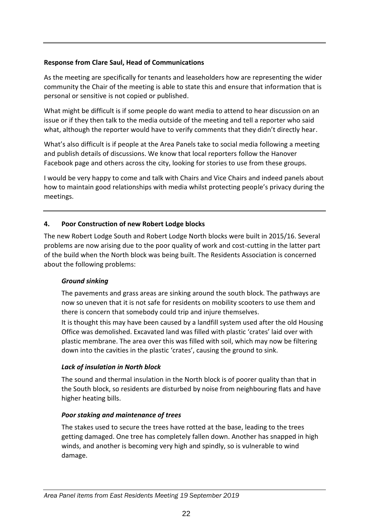#### **Response from Clare Saul, Head of Communications**

As the meeting are specifically for tenants and leaseholders how are representing the wider community the Chair of the meeting is able to state this and ensure that information that is personal or sensitive is not copied or published.

What might be difficult is if some people do want media to attend to hear discussion on an issue or if they then talk to the media outside of the meeting and tell a reporter who said what, although the reporter would have to verify comments that they didn't directly hear.

What's also difficult is if people at the Area Panels take to social media following a meeting and publish details of discussions. We know that local reporters follow the Hanover Facebook page and others across the city, looking for stories to use from these groups.

I would be very happy to come and talk with Chairs and Vice Chairs and indeed panels about how to maintain good relationships with media whilst protecting people's privacy during the meetings.

#### **4. Poor Construction of new Robert Lodge blocks**

The new Robert Lodge South and Robert Lodge North blocks were built in 2015/16. Several problems are now arising due to the poor quality of work and cost-cutting in the latter part of the build when the North block was being built. The Residents Association is concerned about the following problems:

#### *Ground sinking*

The pavements and grass areas are sinking around the south block. The pathways are now so uneven that it is not safe for residents on mobility scooters to use them and there is concern that somebody could trip and injure themselves.

It is thought this may have been caused by a landfill system used after the old Housing Office was demolished. Excavated land was filled with plastic 'crates' laid over with plastic membrane. The area over this was filled with soil, which may now be filtering down into the cavities in the plastic 'crates', causing the ground to sink.

## *Lack of insulation in North block*

The sound and thermal insulation in the North block is of poorer quality than that in the South block, so residents are disturbed by noise from neighbouring flats and have higher heating bills.

#### *Poor staking and maintenance of trees*

The stakes used to secure the trees have rotted at the base, leading to the trees getting damaged. One tree has completely fallen down. Another has snapped in high winds, and another is becoming very high and spindly, so is vulnerable to wind damage.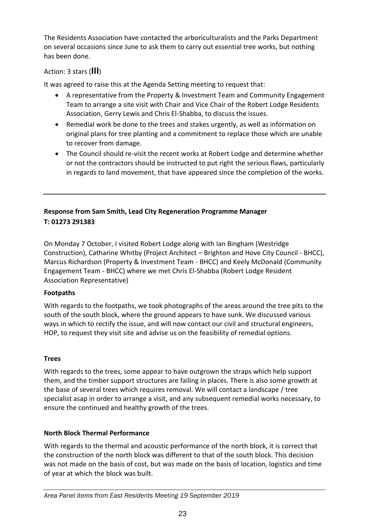The Residents Association have contacted the arboriculturalists and the Parks Department on several occasions since June to ask them to carry out essential tree works, but nothing has been done.

# Action: 3 stars (**III**)

It was agreed to raise this at the Agenda Setting meeting to request that:

- A representative from the Property & Investment Team and Community Engagement Team to arrange a site visit with Chair and Vice Chair of the Robert Lodge Residents Association, Gerry Lewis and Chris El-Shabba, to discuss the issues.
- Remedial work be done to the trees and stakes urgently, as well as information on original plans for tree planting and a commitment to replace those which are unable to recover from damage.
- The Council should re-visit the recent works at Robert Lodge and determine whether or not the contractors should be instructed to put right the serious flaws, particularly in regards to land movement, that have appeared since the completion of the works.

# **Response from Sam Smith, Lead City Regeneration Programme Manager T: 01273 291383**

On Monday 7 October, I visited Robert Lodge along with Ian Bingham (Westridge Construction), Catharine Whitby (Project Architect – Brighton and Hove City Council - BHCC), Marcus Richardson (Property & Investment Team - BHCC) and Keely McDonald (Community Engagement Team - BHCC) where we met Chris El-Shabba (Robert Lodge Resident Association Representative)

## **Footpaths**

With regards to the footpaths, we took photographs of the areas around the tree pits to the south of the south block, where the ground appears to have sunk. We discussed various ways in which to rectify the issue, and will now contact our civil and structural engineers, HOP, to request they visit site and advise us on the feasibility of remedial options.

# **Trees**

With regards to the trees, some appear to have outgrown the straps which help support them, and the timber support structures are failing in places. There is also some growth at the base of several trees which requires removal. We will contact a landscape / tree specialist asap in order to arrange a visit, and any subsequent remedial works necessary, to ensure the continued and healthy growth of the trees.

## **North Block Thermal Performance**

With regards to the thermal and acoustic performance of the north block, it is correct that the construction of the north block was different to that of the south block. This decision was not made on the basis of cost, but was made on the basis of location, logistics and time of year at which the block was built.